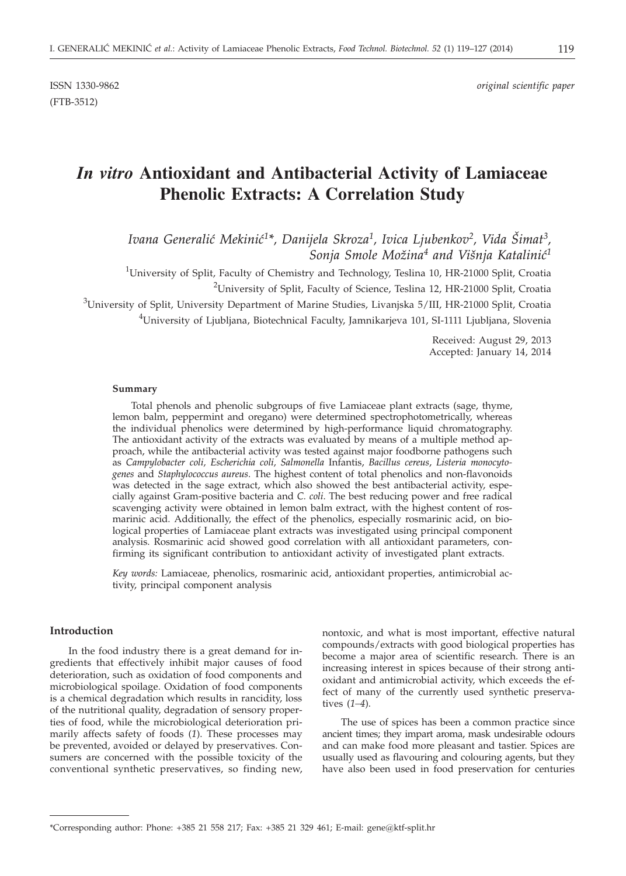ISSN 1330-9862 *original scientific paper*

# *In vitro* **Antioxidant and Antibacterial Activity of Lamiaceae Phenolic Extracts: A Correlation Study**

Ivana Generalić Mekinić<sup>1\*</sup>, Danijela Skroza<sup>1</sup>, Ivica Ljubenkov<sup>2</sup>, Vida Šimat<sup>3</sup>. Sonja Smole Možina<sup>4</sup> and Višnja Katalinić<sup>1</sup>

<sup>1</sup>University of Split, Faculty of Chemistry and Technology, Teslina 10, HR-21000 Split, Croatia

 $^{2}$ University of Split, Faculty of Science, Teslina 12, HR-21000 Split, Croatia

 $^3$ University of Split, University Department of Marine Studies, Livanjska 5/III, HR-21000 Split, Croatia

 $^4$ University of Ljubljana, Biotechnical Faculty, Jamnikarjeva 101, SI-1111 Ljubljana, Slovenia

Received: August 29, 2013 Accepted: January 14, 2014

#### **Summary**

Total phenols and phenolic subgroups of five Lamiaceae plant extracts (sage, thyme, lemon balm, peppermint and oregano) were determined spectrophotometrically, whereas the individual phenolics were determined by high-performance liquid chromatography. The antioxidant activity of the extracts was evaluated by means of a multiple method approach, while the antibacterial activity was tested against major foodborne pathogens such as *Campylobacter coli, Escherichia coli, Salmonella* Infantis, *Bacillus cereus*, *Listeria monocytogenes* and *Staphylococcus aureus*. The highest content of total phenolics and non-flavonoids was detected in the sage extract, which also showed the best antibacterial activity, especially against Gram-positive bacteria and *C. coli*. The best reducing power and free radical scavenging activity were obtained in lemon balm extract, with the highest content of rosmarinic acid. Additionally, the effect of the phenolics, especially rosmarinic acid, on biological properties of Lamiaceae plant extracts was investigated using principal component analysis. Rosmarinic acid showed good correlation with all antioxidant parameters, confirming its significant contribution to antioxidant activity of investigated plant extracts.

*Key words:* Lamiaceae, phenolics, rosmarinic acid, antioxidant properties, antimicrobial activity, principal component analysis

# **Introduction**

In the food industry there is a great demand for ingredients that effectively inhibit major causes of food deterioration, such as oxidation of food components and microbiological spoilage. Oxidation of food components is a chemical degradation which results in rancidity, loss of the nutritional quality, degradation of sensory properties of food, while the microbiological deterioration primarily affects safety of foods (*1*). These processes may be prevented, avoided or delayed by preservatives. Consumers are concerned with the possible toxicity of the conventional synthetic preservatives, so finding new, nontoxic, and what is most important, effective natural compounds/extracts with good biological properties has become a major area of scientific research. There is an increasing interest in spices because of their strong antioxidant and antimicrobial activity, which exceeds the effect of many of the currently used synthetic preservatives (*1–4*).

The use of spices has been a common practice since ancient times; they impart aroma, mask undesirable odours and can make food more pleasant and tastier. Spices are usually used as flavouring and colouring agents, but they have also been used in food preservation for centuries

<sup>\*</sup>Corresponding author: Phone: +385 21 558 217; Fax: +385 21 329 461; E-mail: gene@ktf-split.hr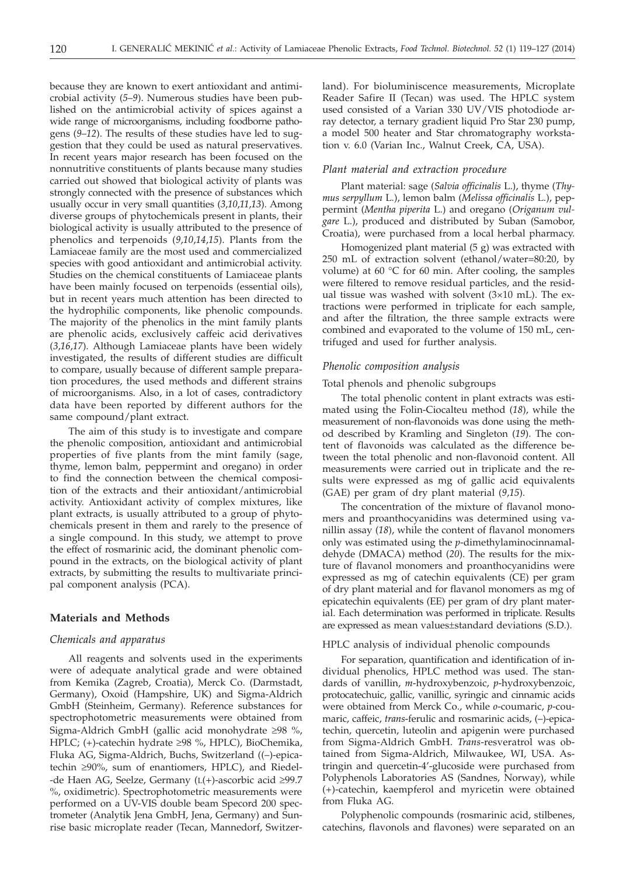because they are known to exert antioxidant and antimicrobial activity (*5*–*9*). Numerous studies have been published on the antimicrobial activity of spices against a wide range of microorganisms, including foodborne pathogens (*9*–*12*). The results of these studies have led to suggestion that they could be used as natural preservatives. In recent years major research has been focused on the nonnutritive constituents of plants because many studies carried out showed that biological activity of plants was strongly connected with the presence of substances which usually occur in very small quantities (*3*,*10*,*11*,*13*). Among diverse groups of phytochemicals present in plants, their biological activity is usually attributed to the presence of phenolics and terpenoids (*9*,*10*,*14*,*15*). Plants from the Lamiaceae family are the most used and commercialized species with good antioxidant and antimicrobial activity. Studies on the chemical constituents of Lamiaceae plants have been mainly focused on terpenoids (essential oils), but in recent years much attention has been directed to the hydrophilic components, like phenolic compounds. The majority of the phenolics in the mint family plants are phenolic acids, exclusively caffeic acid derivatives (*3*,*16*,*17*). Although Lamiaceae plants have been widely investigated, the results of different studies are difficult to compare, usually because of different sample preparation procedures, the used methods and different strains of microorganisms. Also, in a lot of cases, contradictory data have been reported by different authors for the same compound/plant extract.

The aim of this study is to investigate and compare the phenolic composition, antioxidant and antimicrobial properties of five plants from the mint family (sage, thyme, lemon balm, peppermint and oregano) in order to find the connection between the chemical composition of the extracts and their antioxidant/antimicrobial activity. Antioxidant activity of complex mixtures, like plant extracts, is usually attributed to a group of phytochemicals present in them and rarely to the presence of a single compound. In this study, we attempt to prove the effect of rosmarinic acid, the dominant phenolic compound in the extracts, on the biological activity of plant extracts, by submitting the results to multivariate principal component analysis (PCA).

# **Materials and Methods**

# *Chemicals and apparatus*

All reagents and solvents used in the experiments were of adequate analytical grade and were obtained from Kemika (Zagreb, Croatia), Merck Co. (Darmstadt, Germany), Oxoid (Hampshire, UK) and Sigma-Aldrich GmbH (Steinheim, Germany). Reference substances for spectrophotometric measurements were obtained from Sigma-Aldrich GmbH (gallic acid monohydrate  $\geq$ 98 %, HPLC; (+)-catechin hydrate  $\geq$ 98 %, HPLC), BioChemika, Fluka AG, Sigma-Aldrich, Buchs, Switzerland ((–)-epicatechin  $\geq$ 90%, sum of enantiomers, HPLC), and Riedel--de Haen AG, Seelze, Germany  $(L(+)$ -ascorbic acid  $\geq 99.7$ %, oxidimetric). Spectrophotometric measurements were performed on a UV-VIS double beam Specord 200 spectrometer (Analytik Jena GmbH, Jena, Germany) and Sunrise basic microplate reader (Tecan, Mannedorf, Switzerland). For bioluminiscence measurements, Microplate Reader Safire II (Tecan) was used. The HPLC system used consisted of a Varian 330 UV/VIS photodiode array detector, a ternary gradient liquid Pro Star 230 pump, a model 500 heater and Star chromatography workstation v. 6.0 (Varian Inc., Walnut Creek, CA, USA).

### *Plant material and extraction procedure*

Plant material: sage (*Salvia officinalis* L.), thyme (*Thymus serpyllum* L.), lemon balm (*Melissa officinalis* L.), peppermint (*Mentha piperita* L.) and oregano (*Origanum vulgare* L.), produced and distributed by Suban (Samobor, Croatia), were purchased from a local herbal pharmacy.

Homogenized plant material (5 g) was extracted with 250 mL of extraction solvent (ethanol/water=80:20, by volume) at 60 °C for 60 min. After cooling, the samples were filtered to remove residual particles, and the residual tissue was washed with solvent (3×10 mL). The extractions were performed in triplicate for each sample, and after the filtration, the three sample extracts were combined and evaporated to the volume of 150 mL, centrifuged and used for further analysis.

## *Phenolic composition analysis*

## Total phenols and phenolic subgroups

The total phenolic content in plant extracts was estimated using the Folin-Ciocalteu method (*18*), while the measurement of non-flavonoids was done using the method described by Kramling and Singleton (*19*). The content of flavonoids was calculated as the difference between the total phenolic and non-flavonoid content. All measurements were carried out in triplicate and the results were expressed as mg of gallic acid equivalents (GAE) per gram of dry plant material (*9*,*15*).

The concentration of the mixture of flavanol monomers and proanthocyanidins was determined using vanillin assay (*18*), while the content of flavanol monomers only was estimated using the *p*-dimethylaminocinnamaldehyde (DMACA) method (*20*). The results for the mixture of flavanol monomers and proanthocyanidins were expressed as mg of catechin equivalents (CE) per gram of dry plant material and for flavanol monomers as mg of epicatechin equivalents (EE) per gram of dry plant material. Each determination was performed in triplicate. Results are expressed as mean values±standard deviations (S.D.).

## HPLC analysis of individual phenolic compounds

For separation, quantification and identification of individual phenolics, HPLC method was used. The standards of vanillin, *m*-hydroxybenzoic, *p*-hydroxybenzoic, protocatechuic, gallic, vanillic, syringic and cinnamic acids were obtained from Merck Co., while *o*-coumaric, *p*-coumaric, caffeic, *trans*-ferulic and rosmarinic acids, (–)-epicatechin, quercetin, luteolin and apigenin were purchased from Sigma-Aldrich GmbH. *Trans*-resveratrol was obtained from Sigma-Aldrich, Milwaukee, WI, USA. Astringin and quercetin-4'-glucoside were purchased from Polyphenols Laboratories AS (Sandnes, Norway), while (+)-catechin, kaempferol and myricetin were obtained from Fluka AG.

Polyphenolic compounds (rosmarinic acid, stilbenes, catechins, flavonols and flavones) were separated on an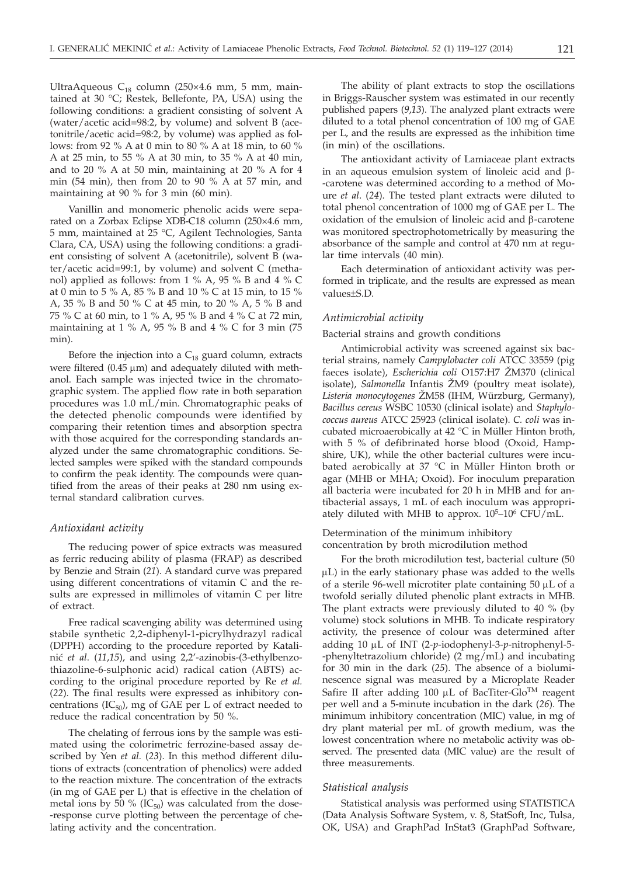UltraAqueous C<sub>18</sub> column (250×4.6 mm, 5 mm, maintained at 30 °C; Restek, Bellefonte, PA, USA) using the following conditions: a gradient consisting of solvent A (water/acetic acid=98:2, by volume) and solvent B (acetonitrile/acetic acid=98:2, by volume) was applied as follows: from 92 % A at 0 min to 80 % A at 18 min, to 60 % A at 25 min, to 55 % A at 30 min, to 35 % A at 40 min, and to 20 % A at 50 min, maintaining at 20 % A for 4 min (54 min), then from 20 to 90 % A at 57 min, and maintaining at 90 % for 3 min (60 min).

Vanillin and monomeric phenolic acids were separated on a Zorbax Eclipse XDB-C18 column (250×4.6 mm, 5 mm, maintained at 25 °C, Agilent Technologies, Santa Clara, CA, USA) using the following conditions: a gradient consisting of solvent A (acetonitrile), solvent B (water/acetic acid=99:1, by volume) and solvent C (methanol) applied as follows: from 1 % A, 95 % B and 4 % C at 0 min to 5 % A, 85 % B and 10 % C at 15 min, to 15 % A, 35 % B and 50 % C at 45 min, to 20 % A, 5 % B and 75 % C at 60 min, to 1 % A, 95 % B and 4 % C at 72 min, maintaining at 1 % A, 95 % B and 4 % C for 3 min (75 min).

Before the injection into a  $C_{18}$  guard column, extracts were filtered  $(0.45 \mu m)$  and adequately diluted with methanol. Each sample was injected twice in the chromatographic system. The applied flow rate in both separation procedures was 1.0 mL/min. Chromatographic peaks of the detected phenolic compounds were identified by comparing their retention times and absorption spectra with those acquired for the corresponding standards analyzed under the same chromatographic conditions. Selected samples were spiked with the standard compounds to confirm the peak identity. The compounds were quantified from the areas of their peaks at 280 nm using external standard calibration curves.

#### *Antioxidant activity*

The reducing power of spice extracts was measured as ferric reducing ability of plasma (FRAP) as described by Benzie and Strain (*21*). A standard curve was prepared using different concentrations of vitamin C and the results are expressed in millimoles of vitamin C per litre of extract.

Free radical scavenging ability was determined using stabile synthetic 2,2-diphenyl-1-picrylhydrazyl radical (DPPH) according to the procedure reported by Katalini} *et al*. (*11*,*15*), and using 2,2'-azinobis-(3-ethylbenzothiazoline-6-sulphonic acid) radical cation (ABTS) according to the original procedure reported by Re *et al.* (*22*). The final results were expressed as inhibitory concentrations (IC $_{50}$ ), mg of GAE per L of extract needed to reduce the radical concentration by 50 %.

The chelating of ferrous ions by the sample was estimated using the colorimetric ferrozine-based assay described by Yen *et al.* (*23*). In this method different dilutions of extracts (concentration of phenolics) were added to the reaction mixture. The concentration of the extracts (in mg of GAE per L) that is effective in the chelation of metal ions by 50 % ( $IC_{50}$ ) was calculated from the dose--response curve plotting between the percentage of chelating activity and the concentration.

The ability of plant extracts to stop the oscillations in Briggs-Rauscher system was estimated in our recently published papers (*9*,*13*). The analyzed plant extracts were diluted to a total phenol concentration of 100 mg of GAE per L, and the results are expressed as the inhibition time (in min) of the oscillations.

The antioxidant activity of Lamiaceae plant extracts in an aqueous emulsion system of linoleic acid and <sup>b</sup>- -carotene was determined according to a method of Moure *et al*. (*24*). The tested plant extracts were diluted to total phenol concentration of 1000 mg of GAE per L. The oxidation of the emulsion of linoleic acid and  $\beta$ -carotene was monitored spectrophotometrically by measuring the absorbance of the sample and control at 470 nm at regular time intervals (40 min).

Each determination of antioxidant activity was performed in triplicate, and the results are expressed as mean values±S.D.

#### *Antimicrobial activity*

#### Bacterial strains and growth conditions

Antimicrobial activity was screened against six bacterial strains, namely *Campylobacter coli* ATCC 33559 (pig faeces isolate), *Escherichia coli* O157:H7 @M370 (clinical isolate), *Salmonella* Infantis ŽM9 (poultry meat isolate), Listeria monocytogenes ŽM58 (IHM, Würzburg, Germany), *Bacillus cereus* WSBC 10530 (clinical isolate) and *Staphylococcus aureus* ATCC 25923 (clinical isolate). *C. coli* was incubated microaerobically at 42 °C in Müller Hinton broth, with 5 % of defibrinated horse blood (Oxoid, Hampshire, UK), while the other bacterial cultures were incubated aerobically at 37 °C in Müller Hinton broth or agar (MHB or MHA; Oxoid). For inoculum preparation all bacteria were incubated for 20 h in MHB and for antibacterial assays, 1 mL of each inoculum was appropriately diluted with MHB to approx. 10<sup>5</sup>–10<sup>6</sup> CFU/mL.

# Determination of the minimum inhibitory concentration by broth microdilution method

For the broth microdilution test, bacterial culture (50  $\mu$ L) in the early stationary phase was added to the wells of a sterile 96-well microtiter plate containing  $50 \mu L$  of a twofold serially diluted phenolic plant extracts in MHB. The plant extracts were previously diluted to 40 % (by volume) stock solutions in MHB. To indicate respiratory activity, the presence of colour was determined after adding 10 µL of INT (2-p-iodophenyl-3-p-nitrophenyl-5--phenyltetrazolium chloride) (2 mg/mL) and incubating for 30 min in the dark (*25*). The absence of a bioluminescence signal was measured by a Microplate Reader Safire II after adding 100  $\mu$ L of BacTiter-Glo<sup>TM</sup> reagent per well and a 5-minute incubation in the dark (*26*). The minimum inhibitory concentration (MIC) value, in mg of dry plant material per mL of growth medium, was the lowest concentration where no metabolic activity was observed. The presented data (MIC value) are the result of three measurements.

#### *Statistical analysis*

Statistical analysis was performed using STATISTICA (Data Analysis Software System, v. 8, StatSoft, Inc, Tulsa, OK, USA) and GraphPad InStat3 (GraphPad Software,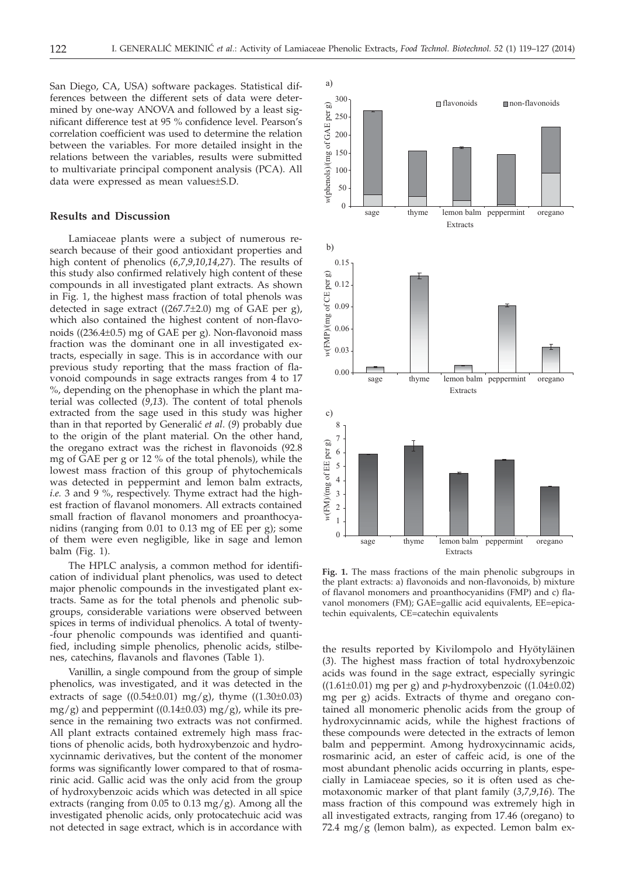San Diego, CA, USA) software packages. Statistical differences between the different sets of data were determined by one-way ANOVA and followed by a least significant difference test at 95 % confidence level. Pearson's correlation coefficient was used to determine the relation between the variables. For more detailed insight in the relations between the variables, results were submitted to multivariate principal component analysis (PCA). All data were expressed as mean values±S.D.

# **Results and Discussion**

Lamiaceae plants were a subject of numerous research because of their good antioxidant properties and high content of phenolics (*6*,*7*,*9*,*10*,*14*,*27*). The results of this study also confirmed relatively high content of these compounds in all investigated plant extracts. As shown in Fig. 1, the highest mass fraction of total phenols was detected in sage extract ((267.7±2.0) mg of GAE per g), which also contained the highest content of non-flavonoids ((236.4±0.5) mg of GAE per g). Non-flavonoid mass fraction was the dominant one in all investigated extracts, especially in sage. This is in accordance with our previous study reporting that the mass fraction of flavonoid compounds in sage extracts ranges from 4 to 17 %, depending on the phenophase in which the plant material was collected (*9*,*13*). The content of total phenols extracted from the sage used in this study was higher than in that reported by Generalić *et al.* (9) probably due to the origin of the plant material. On the other hand, the oregano extract was the richest in flavonoids (92.8 mg of GAE per g or 12 % of the total phenols), while the lowest mass fraction of this group of phytochemicals was detected in peppermint and lemon balm extracts, *i.e.* 3 and 9 %, respectively. Thyme extract had the highest fraction of flavanol monomers. All extracts contained small fraction of flavanol monomers and proanthocyanidins (ranging from 0.01 to 0.13 mg of EE per g); some of them were even negligible, like in sage and lemon balm (Fig. 1).

The HPLC analysis, a common method for identification of individual plant phenolics, was used to detect major phenolic compounds in the investigated plant extracts. Same as for the total phenols and phenolic subgroups, considerable variations were observed between spices in terms of individual phenolics. A total of twenty- -four phenolic compounds was identified and quantified, including simple phenolics, phenolic acids, stilbenes, catechins, flavanols and flavones (Table 1).

Vanillin, a single compound from the group of simple phenolics, was investigated, and it was detected in the extracts of sage  $((0.54\pm0.01)$  mg/g), thyme  $((1.30\pm0.03)$  $mg/g$ ) and peppermint ((0.14±0.03) mg/g), while its presence in the remaining two extracts was not confirmed. All plant extracts contained extremely high mass fractions of phenolic acids, both hydroxybenzoic and hydroxycinnamic derivatives, but the content of the monomer forms was significantly lower compared to that of rosmarinic acid. Gallic acid was the only acid from the group of hydroxybenzoic acids which was detected in all spice extracts (ranging from 0.05 to 0.13 mg/g). Among all the investigated phenolic acids, only protocatechuic acid was not detected in sage extract, which is in accordance with



**Fig. 1.** The mass fractions of the main phenolic subgroups in the plant extracts: a) flavonoids and non-flavonoids, b) mixture of flavanol monomers and proanthocyanidins (FMP) and c) flavanol monomers (FM); GAE=gallic acid equivalents, EE=epicatechin equivalents, CE=catechin equivalents

the results reported by Kivilompolo and Hyötyläinen (*3*). The highest mass fraction of total hydroxybenzoic acids was found in the sage extract, especially syringic  $((1.61\pm0.01)$  mg per g) and *p*-hydroxybenzoic  $((1.04\pm0.02))$ mg per g) acids. Extracts of thyme and oregano contained all monomeric phenolic acids from the group of hydroxycinnamic acids, while the highest fractions of these compounds were detected in the extracts of lemon balm and peppermint. Among hydroxycinnamic acids, rosmarinic acid, an ester of caffeic acid, is one of the most abundant phenolic acids occurring in plants, especially in Lamiaceae species, so it is often used as chemotaxonomic marker of that plant family (*3*,*7*,*9*,*16*). The mass fraction of this compound was extremely high in all investigated extracts, ranging from 17.46 (oregano) to 72.4 mg/g (lemon balm), as expected. Lemon balm ex-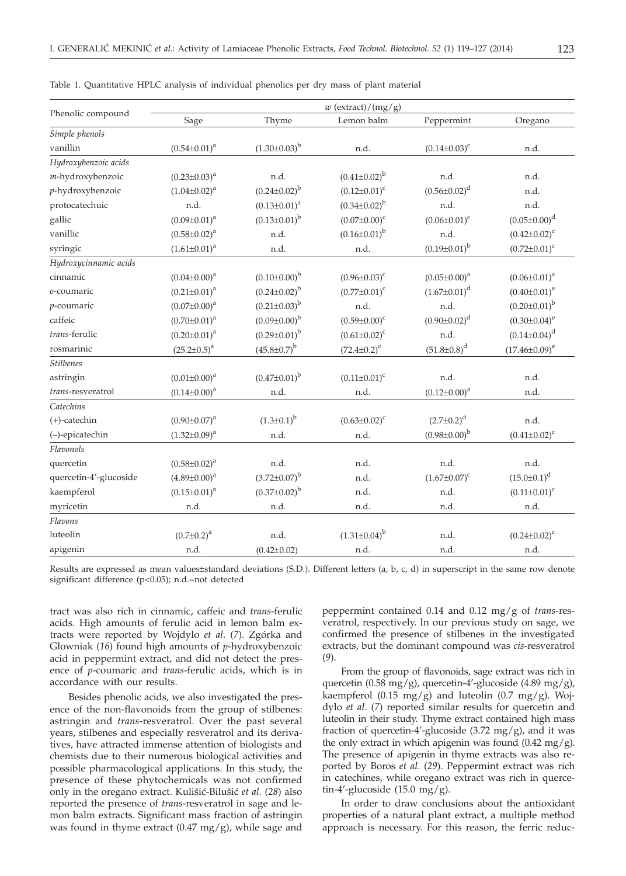|                          | $w$ (extract)/(mg/g) |                       |                       |                     |                       |  |  |  |  |
|--------------------------|----------------------|-----------------------|-----------------------|---------------------|-----------------------|--|--|--|--|
| Phenolic compound        | Sage                 | Thyme                 | Lemon balm            | Peppermint          | Oregano               |  |  |  |  |
| Simple phenols           |                      |                       |                       |                     |                       |  |  |  |  |
| vanillin                 | $(0.54 \pm 0.01)^a$  | $(1.30\pm0.03)^{b}$   | n.d.                  | $(0.14 \pm 0.03)^c$ | n.d.                  |  |  |  |  |
| Hydroxybenzoic acids     |                      |                       |                       |                     |                       |  |  |  |  |
| m-hydroxybenzoic         | $(0.23 \pm 0.03)^a$  | n.d.                  | $(0.41 \pm 0.02)^{b}$ | n.d.                | n.d.                  |  |  |  |  |
| p-hydroxybenzoic         | $(1.04 \pm 0.02)^a$  | $(0.24 \pm 0.02)^{b}$ | $(0.12 \pm 0.01)^c$   | $(0.56 \pm 0.02)^d$ | n.d.                  |  |  |  |  |
| protocatechuic           | n.d.                 | $(0.13 \pm 0.01)^a$   | $(0.34 \pm 0.02)^{b}$ | n.d.                | n.d.                  |  |  |  |  |
| gallic                   | $(0.09 \pm 0.01)^a$  | $(0.13 \pm 0.01)^{b}$ | $(0.07 \pm 0.00)^c$   | $(0.06 \pm 0.01)^c$ | $(0.05 \pm 0.00)^d$   |  |  |  |  |
| vanillic                 | $(0.58 \pm 0.02)^a$  | n.d.                  | $(0.16 \pm 0.01)^{b}$ | n.d.                | $(0.42 \pm 0.02)^c$   |  |  |  |  |
| syringic                 | $(1.61 \pm 0.01)^a$  | n.d.                  | n.d.                  | $(0.19\pm0.01)^{b}$ | $(0.72 \pm 0.01)^c$   |  |  |  |  |
| Hydroxycinnamic acids    |                      |                       |                       |                     |                       |  |  |  |  |
| cinnamic                 | $(0.04 \pm 0.00)^a$  | $(0.10\pm0.00)^{b}$   | $(0.96 \pm 0.03)^c$   | $(0.05 \pm 0.00)^a$ | $(0.06 \pm 0.01)^a$   |  |  |  |  |
| o-coumaric               | $(0.21 \pm 0.01)^a$  | $(0.24 \pm 0.02)^{b}$ | $(0.77 \pm 0.01)^c$   | $(1.67 \pm 0.01)^d$ | $(0.40 \pm 0.01)^e$   |  |  |  |  |
| p-coumaric               | $(0.07 \pm 0.00)^a$  | $(0.21 \pm 0.03)^{b}$ | n.d.                  | n.d.                | $(0.20 \pm 0.01)^{b}$ |  |  |  |  |
| caffeic                  | $(0.70 \pm 0.01)^a$  | $(0.09 \pm 0.00)^{b}$ | $(0.59 \pm 0.00)^c$   | $(0.90 \pm 0.02)^d$ | $(0.30 \pm 0.04)^e$   |  |  |  |  |
| trans-ferulic            | $(0.20 \pm 0.01)^a$  | $(0.29 \pm 0.01)^{b}$ | $(0.61 \pm 0.02)^c$   | n.d.                | $(0.14 \pm 0.04)^d$   |  |  |  |  |
| rosmarinic               | $(25.2 \pm 0.5)^{a}$ | $(45.8 \pm 0.7)^b$    | $(72.4 \pm 0.2)^c$    | $(51.8 \pm 0.8)^d$  | $(17.46 \pm 0.09)^e$  |  |  |  |  |
| <b>Stilbenes</b>         |                      |                       |                       |                     |                       |  |  |  |  |
| astringin                | $(0.01 \pm 0.00)^a$  | $(0.47 \pm 0.01)^{b}$ | $(0.11 \pm 0.01)^c$   | n.d.                | n.d.                  |  |  |  |  |
| <i>trans-resveratrol</i> | $(0.14 \pm 0.00)^a$  | n.d.                  | n.d.                  | $(0.12 \pm 0.00)^a$ | n.d.                  |  |  |  |  |
| Catechins                |                      |                       |                       |                     |                       |  |  |  |  |
| $(+)$ -catechin          | $(0.90 \pm 0.07)^a$  | $(1.3\pm0.1)^{b}$     | $(0.63 \pm 0.02)^c$   | $(2.7 \pm 0.2)^d$   | n.d.                  |  |  |  |  |
| (-)-epicatechin          | $(1.32 \pm 0.09)^a$  | n.d.                  | n.d.                  | $(0.98\pm0.00)^{b}$ | $(0.41 \pm 0.02)^c$   |  |  |  |  |
| Flavonols                |                      |                       |                       |                     |                       |  |  |  |  |
| quercetin                | $(0.58 \pm 0.02)^a$  | n.d.                  | n.d.                  | n.d.                | n.d.                  |  |  |  |  |
| quercetin-4'-glucoside   | $(4.89 \pm 0.00)^a$  | $(3.72 \pm 0.07)^b$   | n.d.                  | $(1.67 \pm 0.07)^c$ | $(15.0 \pm 0.1)^d$    |  |  |  |  |
| kaempferol               | $(0.15 \pm 0.01)^a$  | $(0.37 \pm 0.02)^{b}$ | n.d.                  | n.d.                | $(0.11 \pm 0.01)^c$   |  |  |  |  |
| myricetin                | n.d.                 | n.d.                  | n.d.                  | n.d.                | n.d.                  |  |  |  |  |
| Flavons                  |                      |                       |                       |                     |                       |  |  |  |  |
| luteolin                 | $(0.7 \pm 0.2)^a$    | n.d.                  | $(1.31\pm0.04)^{b}$   | n.d.                | $(0.24 \pm 0.02)^c$   |  |  |  |  |
| apigenin                 | n.d.                 | $(0.42 \pm 0.02)$     | n.d.                  | n.d.                | n.d.                  |  |  |  |  |

| Table 1. Quantitative HPLC analysis of individual phenolics per dry mass of plant material |  |  |  |  |
|--------------------------------------------------------------------------------------------|--|--|--|--|
|--------------------------------------------------------------------------------------------|--|--|--|--|

Results are expressed as mean values±standard deviations (S.D.). Different letters (a, b, c, d) in superscript in the same row denote significant difference (p<0.05); n.d.=not detected

tract was also rich in cinnamic, caffeic and *trans*-ferulic acids. High amounts of ferulic acid in lemon balm extracts were reported by Wojdylo *et al*. (*7*). Zgórka and Glowniak (*16*) found high amounts of *p*-hydroxybenzoic acid in peppermint extract, and did not detect the presence of *p*-coumaric and *trans*-ferulic acids, which is in accordance with our results.

Besides phenolic acids, we also investigated the presence of the non-flavonoids from the group of stilbenes: astringin and *trans*-resveratrol. Over the past several years, stilbenes and especially resveratrol and its derivatives, have attracted immense attention of biologists and chemists due to their numerous biological activities and possible pharmacological applications. In this study, the presence of these phytochemicals was not confirmed only in the oregano extract. Kulišić-Bilušić et al. (28) also reported the presence of *trans*-resveratrol in sage and lemon balm extracts. Significant mass fraction of astringin was found in thyme extract  $(0.47 \text{ mg/g})$ , while sage and peppermint contained 0.14 and 0.12 mg/g of *trans*-resveratrol, respectively. In our previous study on sage, we confirmed the presence of stilbenes in the investigated extracts, but the dominant compound was *cis*-resveratrol (*9*).

From the group of flavonoids, sage extract was rich in quercetin (0.58 mg/g), quercetin-4'-glucoside (4.89 mg/g), kaempferol (0.15 mg/g) and luteolin (0.7 mg/g). Wojdylo *et al*. (*7*) reported similar results for quercetin and luteolin in their study. Thyme extract contained high mass fraction of quercetin-4'-glucoside  $(3.72 \text{ mg/g})$ , and it was the only extract in which apigenin was found  $(0.42 \text{ mg/g}).$ The presence of apigenin in thyme extracts was also reported by Boros *et al*. (*29*). Peppermint extract was rich in catechines, while oregano extract was rich in quercetin-4'-glucoside  $(15.0 \text{ mg/g}).$ 

In order to draw conclusions about the antioxidant properties of a natural plant extract, a multiple method approach is necessary. For this reason, the ferric reduc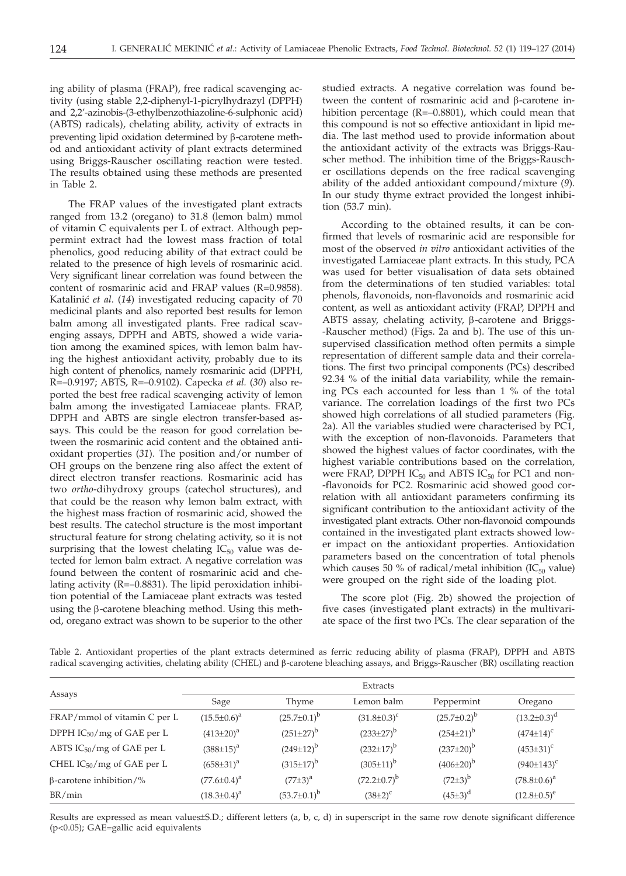ing ability of plasma (FRAP), free radical scavenging activity (using stable 2,2-diphenyl-1-picrylhydrazyl (DPPH) and 2,2'-azinobis-(3-ethylbenzothiazoline-6-sulphonic acid) (ABTS) radicals), chelating ability, activity of extracts in preventing lipid oxidation determined by  $\beta$ -carotene method and antioxidant activity of plant extracts determined using Briggs-Rauscher oscillating reaction were tested. The results obtained using these methods are presented in Table 2.

The FRAP values of the investigated plant extracts ranged from 13.2 (oregano) to 31.8 (lemon balm) mmol of vitamin C equivalents per L of extract. Although peppermint extract had the lowest mass fraction of total phenolics, good reducing ability of that extract could be related to the presence of high levels of rosmarinic acid. Very significant linear correlation was found between the content of rosmarinic acid and FRAP values (R=0.9858). Katalini} *et al*. (*14*) investigated reducing capacity of 70 medicinal plants and also reported best results for lemon balm among all investigated plants. Free radical scavenging assays, DPPH and ABTS, showed a wide variation among the examined spices, with lemon balm having the highest antioxidant activity, probably due to its high content of phenolics, namely rosmarinic acid (DPPH, R=–0.9197; ABTS, R=–0.9102). Capecka *et al.* (*30*) also reported the best free radical scavenging activity of lemon balm among the investigated Lamiaceae plants. FRAP, DPPH and ABTS are single electron transfer-based assays*.* This could be the reason for good correlation between the rosmarinic acid content and the obtained antioxidant properties (*31*). The position and/or number of OH groups on the benzene ring also affect the extent of direct electron transfer reactions. Rosmarinic acid has two *ortho*-dihydroxy groups (catechol structures), and that could be the reason why lemon balm extract, with the highest mass fraction of rosmarinic acid, showed the best results. The catechol structure is the most important structural feature for strong chelating activity, so it is not surprising that the lowest chelating  $IC_{50}$  value was detected for lemon balm extract. A negative correlation was found between the content of rosmarinic acid and chelating activity (R=–0.8831). The lipid peroxidation inhibition potential of the Lamiaceae plant extracts was tested using the  $\beta$ -carotene bleaching method. Using this method, oregano extract was shown to be superior to the other studied extracts. A negative correlation was found between the content of rosmarinic acid and  $\beta$ -carotene inhibition percentage (R=–0.8801), which could mean that this compound is not so effective antioxidant in lipid media. The last method used to provide information about the antioxidant activity of the extracts was Briggs-Rauscher method. The inhibition time of the Briggs-Rauscher oscillations depends on the free radical scavenging ability of the added antioxidant compound/mixture (*9*). In our study thyme extract provided the longest inhibition (53.7 min).

According to the obtained results, it can be confirmed that levels of rosmarinic acid are responsible for most of the observed *in vitro* antioxidant activities of the investigated Lamiaceae plant extracts. In this study, PCA was used for better visualisation of data sets obtained from the determinations of ten studied variables: total phenols, flavonoids, non-flavonoids and rosmarinic acid content, as well as antioxidant activity (FRAP, DPPH and ABTS assay, chelating activity, β-carotene and Briggs--Rauscher method) (Figs. 2a and b). The use of this unsupervised classification method often permits a simple representation of different sample data and their correlations. The first two principal components (PCs) described 92.34 % of the initial data variability, while the remaining PCs each accounted for less than 1 % of the total variance. The correlation loadings of the first two PCs showed high correlations of all studied parameters (Fig. 2a). All the variables studied were characterised by PC1, with the exception of non-flavonoids. Parameters that showed the highest values of factor coordinates, with the highest variable contributions based on the correlation, were FRAP, DPPH  $IC_{50}$  and ABTS  $IC_{50}$  for PC1 and non--flavonoids for PC2. Rosmarinic acid showed good correlation with all antioxidant parameters confirming its significant contribution to the antioxidant activity of the investigated plant extracts. Other non-flavonoid compounds contained in the investigated plant extracts showed lower impact on the antioxidant properties. Antioxidation parameters based on the concentration of total phenols which causes 50 % of radical/metal inhibition (IC $_{50}$  value) were grouped on the right side of the loading plot.

The score plot (Fig. 2b) showed the projection of five cases (investigated plant extracts) in the multivariate space of the first two PCs. The clear separation of the

| Table 2. Antioxidant properties of the plant extracts determined as ferric reducing ability of plasma (FRAP), DPPH and ABTS            |  |  |  |  |  |  |
|----------------------------------------------------------------------------------------------------------------------------------------|--|--|--|--|--|--|
| radical scavenging activities, chelating ability (CHEL) and β-carotene bleaching assays, and Briggs-Rauscher (BR) oscillating reaction |  |  |  |  |  |  |

|                                        | Extracts           |                    |                    |                    |                    |  |  |
|----------------------------------------|--------------------|--------------------|--------------------|--------------------|--------------------|--|--|
| Assays                                 | Sage               | Thyme              | Lemon balm         | Peppermint         | Oregano            |  |  |
| FRAP/mmol of vitamin C per L           | $(15.5 \pm 0.6)^a$ | $(25.7 \pm 0.1)^b$ | $(31.8 \pm 0.3)^c$ | $(25.7 \pm 0.2)^b$ | $(13.2 \pm 0.3)^d$ |  |  |
| DPPH $IC_{50}/mg$ of GAE per L         | $(413\pm20)^a$     | $(251 \pm 27)^b$   | $(233\pm27)^{b}$   | $(254\pm21)^b$     | $(474 \pm 14)^c$   |  |  |
| ABTS IC <sub>50</sub> /mg of GAE per L | $(388\pm15)^{a}$   | $(249\pm12)^{b}$   | $(232 \pm 17)^{b}$ | $(237 \pm 20)^b$   | $(453\pm31)^c$     |  |  |
| CHEL $IC_{50}/mg$ of GAE per L         | $(658 \pm 31)^a$   | $(315 \pm 17)^b$   | $(305 \pm 11)^b$   | $(406\pm20)^{b}$   | $(940±143)^c$      |  |  |
| $\beta$ -carotene inhibition/%         | $(77.6 \pm 0.4)^a$ | $(77\pm3)^{a}$     | $(72.2 \pm 0.7)^b$ | $(72\pm3)^{b}$     | $(78.8 \pm 0.6)^a$ |  |  |
| BR/min                                 | $(18.3 \pm 0.4)^a$ | $(53.7 \pm 0.1)^b$ | $(38\pm2)^{c}$     | $(45\pm3)^d$       | $(12.8 \pm 0.5)^e$ |  |  |

Results are expressed as mean values±S.D.; different letters (a, b, c, d) in superscript in the same row denote significant difference (p<0.05); GAE=gallic acid equivalents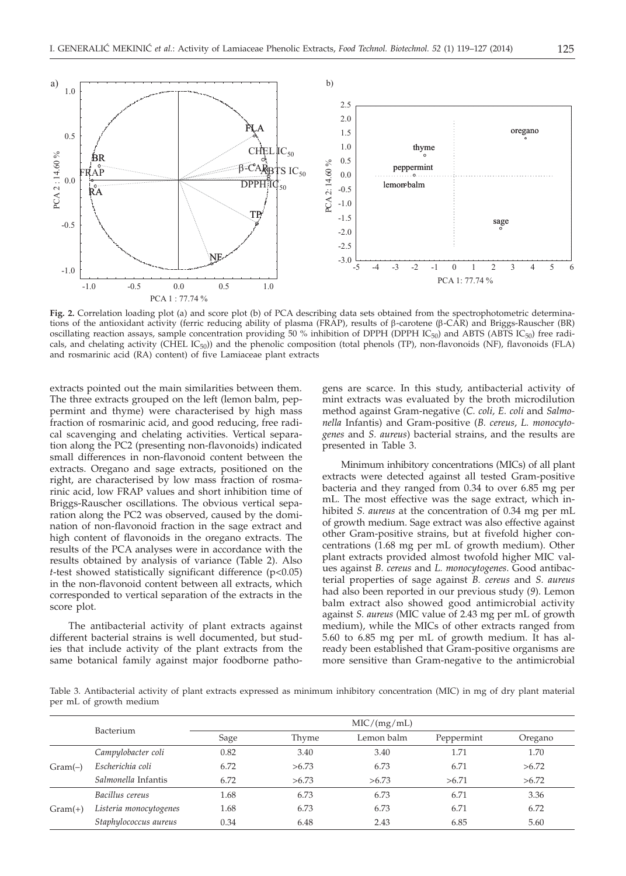

**Fig. 2.** Correlation loading plot (a) and score plot (b) of PCA describing data sets obtained from the spectrophotometric determinations of the antioxidant activity (ferric reducing ability of plasma (FRAP), results of b-carotene (b-CAR) and Briggs-Rauscher (BR) oscillating reaction assays, sample concentration providing 50 % inhibition of DPPH (DPPH IC<sub>50</sub>) and ABTS (ABTS IC<sub>50</sub>) free radicals, and chelating activity (CHEL  $IC_{50}$ )) and the phenolic composition (total phenols (TP), non-flavonoids (NF), flavonoids (FLA) and rosmarinic acid (RA) content) of five Lamiaceae plant extracts

extracts pointed out the main similarities between them. The three extracts grouped on the left (lemon balm, peppermint and thyme) were characterised by high mass fraction of rosmarinic acid, and good reducing, free radical scavenging and chelating activities. Vertical separation along the PC2 (presenting non-flavonoids) indicated small differences in non-flavonoid content between the extracts. Oregano and sage extracts, positioned on the right, are characterised by low mass fraction of rosmarinic acid, low FRAP values and short inhibition time of Briggs-Rauscher oscillations. The obvious vertical separation along the PC2 was observed, caused by the domination of non-flavonoid fraction in the sage extract and high content of flavonoids in the oregano extracts. The results of the PCA analyses were in accordance with the results obtained by analysis of variance (Table 2). Also *t*-test showed statistically significant difference (p<0.05) in the non-flavonoid content between all extracts, which corresponded to vertical separation of the extracts in the score plot.

The antibacterial activity of plant extracts against different bacterial strains is well documented, but studies that include activity of the plant extracts from the same botanical family against major foodborne pathogens are scarce. In this study, antibacterial activity of mint extracts was evaluated by the broth microdilution method against Gram-negative (*C. coli, E. coli* and *Salmonella* Infantis) and Gram-positive (*B. cereus*, *L. monocytogenes* and *S. aureus*) bacterial strains, and the results are presented in Table 3.

Minimum inhibitory concentrations (MICs) of all plant extracts were detected against all tested Gram-positive bacteria and they ranged from 0.34 to over 6.85 mg per mL. The most effective was the sage extract, which inhibited *S. aureus* at the concentration of 0.34 mg per mL of growth medium. Sage extract was also effective against other Gram-positive strains, but at fivefold higher concentrations (1.68 mg per mL of growth medium). Other plant extracts provided almost twofold higher MIC values against *B. cereus* and *L. monocytogenes*. Good antibacterial properties of sage against *B. cereus* and *S. aureus* had also been reported in our previous study (*9*). Lemon balm extract also showed good antimicrobial activity against *S. aureus* (MIC value of 2.43 mg per mL of growth medium), while the MICs of other extracts ranged from 5.60 to 6.85 mg per mL of growth medium. It has already been established that Gram-positive organisms are more sensitive than Gram-negative to the antimicrobial

Table 3. Antibacterial activity of plant extracts expressed as minimum inhibitory concentration (MIC) in mg of dry plant material per mL of growth medium

|           |                        | MIC/(mg/mL) |       |            |            |         |  |  |  |
|-----------|------------------------|-------------|-------|------------|------------|---------|--|--|--|
|           | Bacterium              | Sage        | Thyme | Lemon balm | Peppermint | Oregano |  |  |  |
|           | Campylobacter coli     | 0.82        | 3.40  | 3.40       | 1.71       | 1.70    |  |  |  |
| $Gram(-)$ | Escherichia coli       | 6.72        | >6.73 | 6.73       | 6.71       | >6.72   |  |  |  |
|           | Salmonella Infantis    | 6.72        | >6.73 | >6.73      | >6.71      | >6.72   |  |  |  |
|           | Bacillus cereus        | 1.68        | 6.73  | 6.73       | 6.71       | 3.36    |  |  |  |
| $Gram(+)$ | Listeria monocytogenes | 1.68        | 6.73  | 6.73       | 6.71       | 6.72    |  |  |  |
|           | Staphylococcus aureus  | 0.34        | 6.48  | 2.43       | 6.85       | 5.60    |  |  |  |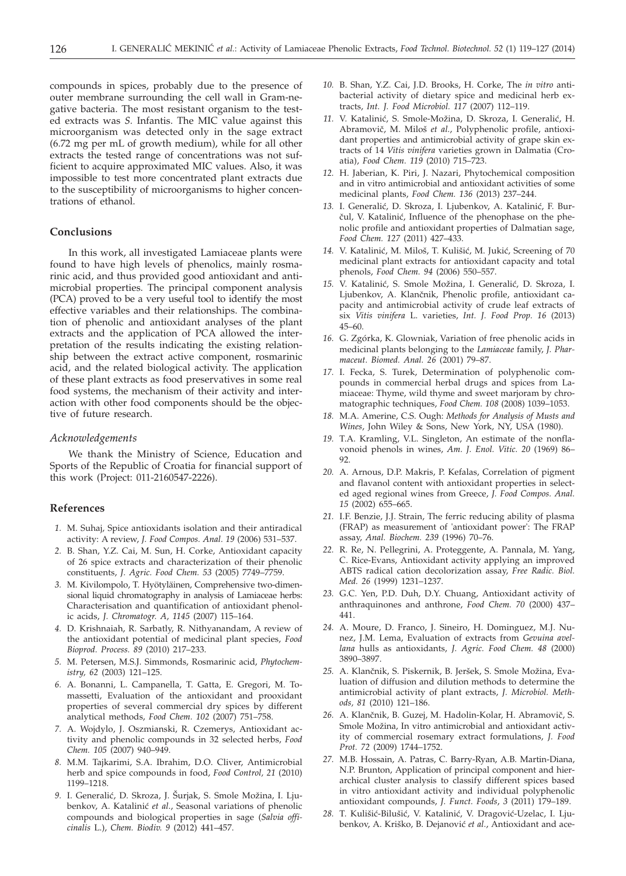compounds in spices, probably due to the presence of outer membrane surrounding the cell wall in Gram-negative bacteria. The most resistant organism to the tested extracts was *S.* Infantis. The MIC value against this microorganism was detected only in the sage extract (6.72 mg per mL of growth medium), while for all other extracts the tested range of concentrations was not sufficient to acquire approximated MIC values. Also, it was impossible to test more concentrated plant extracts due to the susceptibility of microorganisms to higher concentrations of ethanol.

# **Conclusions**

In this work, all investigated Lamiaceae plants were found to have high levels of phenolics, mainly rosmarinic acid, and thus provided good antioxidant and antimicrobial properties. The principal component analysis (PCA) proved to be a very useful tool to identify the most effective variables and their relationships. The combination of phenolic and antioxidant analyses of the plant extracts and the application of PCA allowed the interpretation of the results indicating the existing relationship between the extract active component, rosmarinic acid, and the related biological activity. The application of these plant extracts as food preservatives in some real food systems, the mechanism of their activity and interaction with other food components should be the objective of future research.

#### *Acknowledgements*

We thank the Ministry of Science, Education and Sports of the Republic of Croatia for financial support of this work (Project: 011-2160547-2226).

# **References**

- *1.* M. Suhaj, Spice antioxidants isolation and their antiradical activity: A review, *J. Food Compos. Anal. 19* (2006) 531–537.
- *2.* B. Shan, Y.Z. Cai, M. Sun, H. Corke, Antioxidant capacity of 26 spice extracts and characterization of their phenolic constituents, *J. Agric. Food Chem. 53* (2005) 7749–7759.
- *3.* M. Kivilompolo, T. Hyötyläinen, Comprehensive two-dimensional liquid chromatography in analysis of Lamiaceae herbs: Characterisation and quantification of antioxidant phenolic acids, *J. Chromatogr. A*, *1145* (2007) 115–164.
- *4.* D. Krishnaiah, R. Sarbatly, R. Nithyanandam, A review of the antioxidant potential of medicinal plant species, *Food Bioprod. Process. 89* (2010) 217–233.
- *5.* M. Petersen, M.S.J. Simmonds, Rosmarinic acid, *Phytochemistry, 62* (2003) 121–125.
- *6.* A. Bonanni, L. Campanella, T. Gatta, E. Gregori, M. Tomassetti, Evaluation of the antioxidant and prooxidant properties of several commercial dry spices by different analytical methods, *Food Chem. 102* (2007) 751–758.
- *7.* A. Wojdylo, J. Oszmianski, R. Czemerys, Antioxidant activity and phenolic compounds in 32 selected herbs, *Food Chem. 105* (2007) 940–949.
- *8.* M.M. Tajkarimi, S.A. Ibrahim, D.O. Cliver, Antimicrobial herb and spice compounds in food, *Food Control, 21* (2010) 1199–1218.
- 9. I. Generalić, D. Skroza, J. Šurjak, S. Smole Možina, I. Ljubenkov, A. Katalinić et al., Seasonal variations of phenolic compounds and biological properties in sage (*Salvia officinalis* L.), *Chem. Biodiv. 9* (2012) 441–457.
- *10.* B. Shan, Y.Z. Cai, J.D. Brooks, H. Corke, The *in vitro* antibacterial activity of dietary spice and medicinal herb extracts, *Int. J. Food Microbiol. 117* (2007) 112–119.
- 11. V. Katalinić, S. Smole-Možina, D. Skroza, I. Generalić, H. Abramovič, M. Miloš et al., Polyphenolic profile, antioxidant properties and antimicrobial activity of grape skin extracts of 14 *Vitis vinifera* varieties grown in Dalmatia (Croatia), *Food Chem. 119* (2010) 715–723.
- *12.* H. Jaberian, K. Piri, J. Nazari, Phytochemical composition and in vitro antimicrobial and antioxidant activities of some medicinal plants, *Food Chem. 136* (2013) 237–244.
- 13. I. Generalić, D. Skroza, I. Ljubenkov, A. Katalinić, F. Burčul, V. Katalinić, Influence of the phenophase on the phenolic profile and antioxidant properties of Dalmatian sage, *Food Chem. 127* (2011) 427–433.
- 14. V. Katalinić, M. Miloš, T. Kulišić, M. Jukić, Screening of 70 medicinal plant extracts for antioxidant capacity and total phenols, *Food Chem. 94* (2006) 550–557.
- 15. V. Katalinić, S. Smole Možina, I. Generalić, D. Skroza, I. Ljubenkov, A. Klančnik, Phenolic profile, antioxidant capacity and antimicrobial activity of crude leaf extracts of six *Vitis vinifera* L. varieties, *Int. J. Food Prop. 16* (2013) 45–60.
- *16.* G. Zgórka, K. Glowniak, Variation of free phenolic acids in medicinal plants belonging to the *Lamiaceae* family, *J. Pharmaceut. Biomed. Anal. 26* (2001) 79–87.
- *17.* I. Fecka, S. Turek, Determination of polyphenolic compounds in commercial herbal drugs and spices from Lamiaceae: Thyme, wild thyme and sweet marjoram by chromatographic techniques, *Food Chem. 108* (2008) 1039–1053.
- *18.* M.A. Amerine, C.S. Ough: *Methods for Analysis of Musts and Wines*, John Wiley & Sons, New York, NY, USA (1980).
- *19.* T.A. Kramling, V.L. Singleton, An estimate of the nonflavonoid phenols in wines, *Am. J. Enol. Vitic. 20* (1969) 86– 92.
- *20.* A. Arnous, D.P. Makris, P. Kefalas, Correlation of pigment and flavanol content with antioxidant properties in selected aged regional wines from Greece, *J. Food Compos. Anal. 15* (2002) 655–665.
- *21.* I.F. Benzie, J.J. Strain, The ferric reducing ability of plasma (FRAP) as measurement of 'antioxidant power': The FRAP assay, *Anal. Biochem. 239* (1996) 70–76.
- *22.* R. Re, N. Pellegrini, A. Proteggente, A. Pannala, M. Yang, C. Rice-Evans, Antioxidant activity applying an improved ABTS radical cation decolorization assay, *Free Radic. Biol. Med. 26* (1999) 1231–1237.
- *23.* G.C. Yen, P.D. Duh, D.Y. Chuang, Antioxidant activity of anthraquinones and anthrone, *Food Chem. 70* (2000) 437– 441.
- *24.* A. Moure, D. Franco, J. Sineiro, H. Dominguez, M.J. Nunez, J.M. Lema, Evaluation of extracts from *Gevuina avellana* hulls as antioxidants, *J. Agric. Food Chem. 48* (2000) 3890–3897.
- 25. A. Klančnik, S. Piskernik, B. Jeršek, S. Smole Možina, Evaluation of diffusion and dilution methods to determine the antimicrobial activity of plant extracts, *J. Microbiol. Methods, 81* (2010) 121–186.
- 26. A. Klančnik, B. Guzej, M. Hadolin-Kolar, H. Abramovič, S. Smole Možina, In vitro antimicrobial and antioxidant activity of commercial rosemary extract formulations, *J. Food Prot. 72* (2009) 1744–1752.
- *27.* M.B. Hossain, A. Patras, C. Barry-Ryan, A.B. Martin-Diana, N.P. Brunton, Application of principal component and hierarchical cluster analysis to classify different spices based in vitro antioxidant activity and individual polyphenolic antioxidant compounds, *J. Funct. Foods*, *3* (2011) 179–189.
- 28. T. Kulišić-Bilušić, V. Katalinić, V. Dragović-Uzelac, I. Ljubenkov, A. Kriško, B. Dejanović et al., Antioxidant and ace-